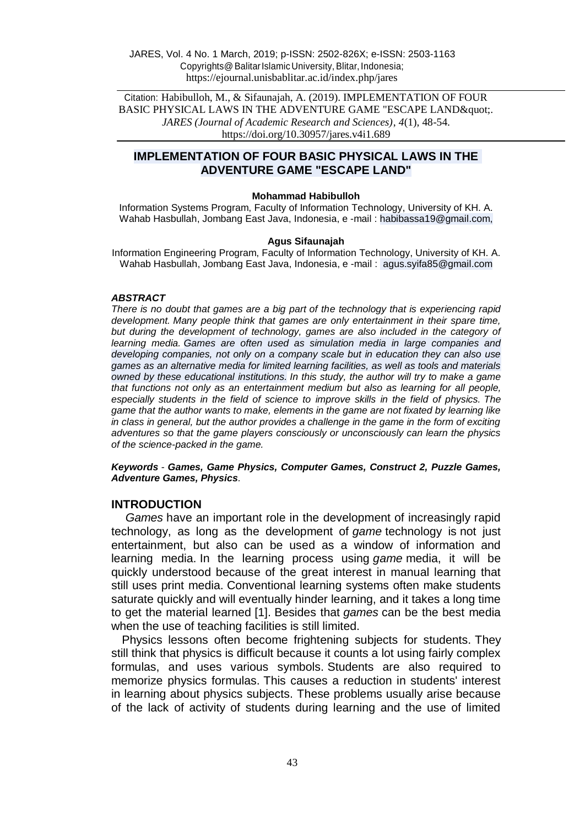Citation: Habibulloh, M., & Sifaunajah, A. (2019). IMPLEMENTATION OF FOUR BASIC PHYSICAL LAWS IN THE ADVENTURE GAME "ESCAPE LAND & quot;. *JARES (Journal of Academic Research and Sciences)*, *4*(1), 48-54. https://doi.org/10.30957/jares.v4i1.689

## **IMPLEMENTATION OF FOUR BASIC PHYSICAL LAWS IN THE ADVENTURE GAME "ESCAPE LAND"**

#### **Mohammad Habibulloh**

Information Systems Program, Faculty of Information Technology, University of KH. A. Wahab Hasbullah, Jombang East Java, Indonesia, e -mail : habibassa19@gmail.com,

#### **Agus Sifaunajah**

Information Engineering Program, Faculty of Information Technology, University of KH. A. Wahab Hasbullah, Jombang East Java, Indonesia, e -mail : agus.syifa85@gmail.com

#### *ABSTRACT*

*There is no doubt that games are a big part of the technology that is experiencing rapid development. Many people think that games are only entertainment in their spare time,*  but during the development of technology, games are also included in the category of *learning media. Games are often used as simulation media in large companies and developing companies, not only on a company scale but in education they can also use games as an alternative media for limited learning facilities, as well as tools and materials owned by these educational institutions. In this study, the author will try to make a game that functions not only as an entertainment medium but also as learning for all people, especially students in the field of science to improve skills in the field of physics. The game that the author wants to make, elements in the game are not fixated by learning like in class in general, but the author provides a challenge in the game in the form of exciting adventures so that the game players consciously or unconsciously can learn the physics of the science-packed in the game.*

*Keywords - Games, Game Physics, Computer Games, Construct 2, Puzzle Games, Adventure Games, Physics.*

#### **INTRODUCTION**

*Games* have an important role in the development of increasingly rapid technology, as long as the development of *game* technology is not just entertainment, but also can be used as a window of information and learning media. In the learning process using *game* media, it will be quickly understood because of the great interest in manual learning that still uses print media. Conventional learning systems often make students saturate quickly and will eventually hinder learning, and it takes a long time to get the material learned [1]. Besides that *games* can be the best media when the use of teaching facilities is still limited.

Physics lessons often become frightening subjects for students. They still think that physics is difficult because it counts a lot using fairly complex formulas, and uses various symbols. Students are also required to memorize physics formulas. This causes a reduction in students' interest in learning about physics subjects. These problems usually arise because of the lack of activity of students during learning and the use of limited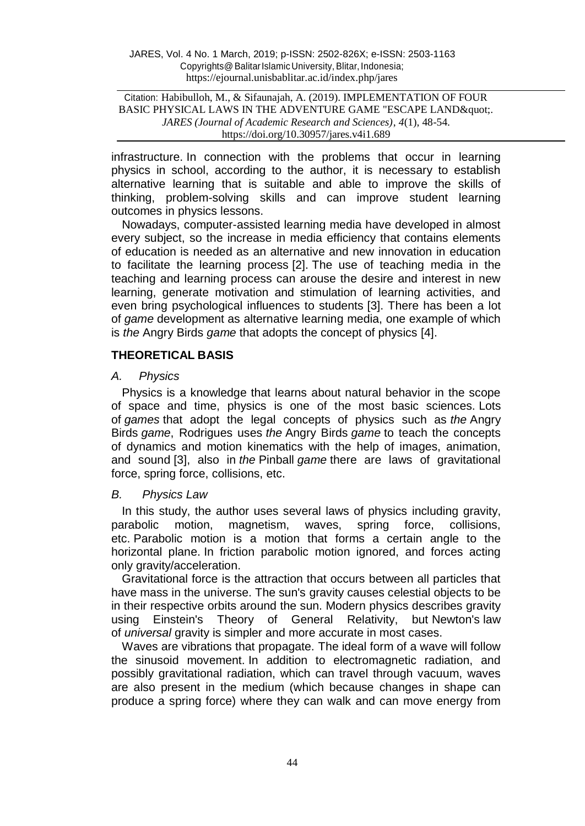Citation: Habibulloh, M., & Sifaunajah, A. (2019). IMPLEMENTATION OF FOUR BASIC PHYSICAL LAWS IN THE ADVENTURE GAME "ESCAPE LAND & quot;. *JARES (Journal of Academic Research and Sciences)*, *4*(1), 48-54. https://doi.org/10.30957/jares.v4i1.689

infrastructure. In connection with the problems that occur in learning physics in school, according to the author, it is necessary to establish alternative learning that is suitable and able to improve the skills of thinking, problem-solving skills and can improve student learning outcomes in physics lessons.

Nowadays, computer-assisted learning media have developed in almost every subject, so the increase in media efficiency that contains elements of education is needed as an alternative and new innovation in education to facilitate the learning process [2]. The use of teaching media in the teaching and learning process can arouse the desire and interest in new learning, generate motivation and stimulation of learning activities, and even bring psychological influences to students [3]. There has been a lot of *game* development as alternative learning media, one example of which is *the* Angry Birds *game* that adopts the concept of physics [4].

## **THEORETICAL BASIS**

### *A. Physics*

Physics is a knowledge that learns about natural behavior in the scope of space and time, physics is one of the most basic sciences. Lots of *games* that adopt the legal concepts of physics such as *the* Angry Birds *game*, Rodrigues uses *the* Angry Birds *game* to teach the concepts of dynamics and motion kinematics with the help of images, animation, and sound [3], also in *the* Pinball *game* there are laws of gravitational force, spring force, collisions, etc.

### *B. Physics Law*

In this study, the author uses several laws of physics including gravity, parabolic motion, magnetism, waves, spring force, collisions, etc. Parabolic motion is a motion that forms a certain angle to the horizontal plane. In friction parabolic motion ignored, and forces acting only gravity/acceleration.

Gravitational force is the attraction that occurs between all particles that have mass in the universe. The sun's gravity causes celestial objects to be in their respective orbits around the sun. Modern physics describes gravity using Einstein's Theory of General Relativity, but Newton's law of *universal* gravity is simpler and more accurate in most cases.

Waves are vibrations that propagate. The ideal form of a wave will follow the sinusoid movement. In addition to electromagnetic radiation, and possibly gravitational radiation, which can travel through vacuum, waves are also present in the medium (which because changes in shape can produce a spring force) where they can walk and can move energy from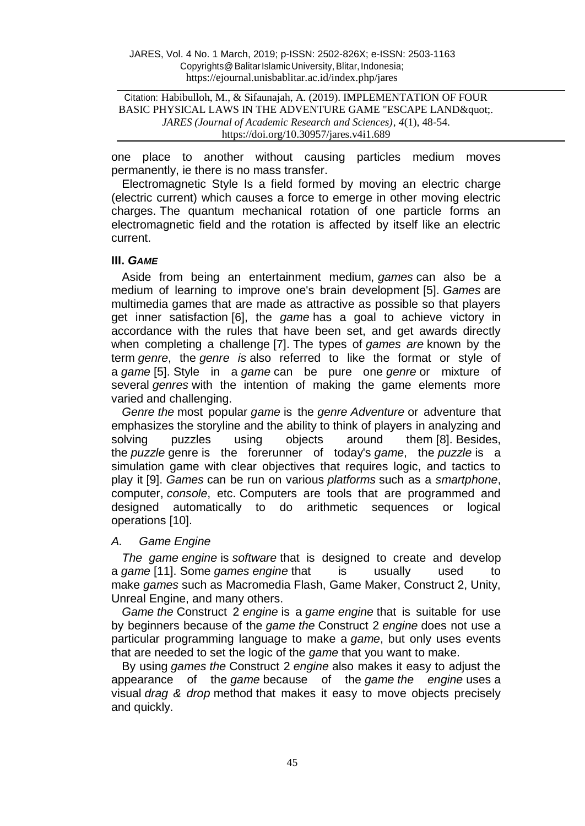Citation: Habibulloh, M., & Sifaunajah, A. (2019). IMPLEMENTATION OF FOUR BASIC PHYSICAL LAWS IN THE ADVENTURE GAME "ESCAPE LAND & quot;. *JARES (Journal of Academic Research and Sciences)*, *4*(1), 48-54. https://doi.org/10.30957/jares.v4i1.689

one place to another without causing particles medium moves permanently, ie there is no mass transfer.

Electromagnetic Style Is a field formed by moving an electric charge (electric current) which causes a force to emerge in other moving electric charges. The quantum mechanical rotation of one particle forms an electromagnetic field and the rotation is affected by itself like an electric current.

### **III.** *GAME*

Aside from being an entertainment medium, *games* can also be a medium of learning to improve one's brain development [5]. *Games* are multimedia games that are made as attractive as possible so that players get inner satisfaction [6], the *game* has a goal to achieve victory in accordance with the rules that have been set, and get awards directly when completing a challenge [7]. The types of *games are* known by the term *genre*, the *genre is* also referred to like the format or style of a *game* [5]. Style in a *game* can be pure one *genre* or mixture of several *genres* with the intention of making the game elements more varied and challenging.

*Genre the* most popular *game* is the *genre Adventure* or adventure that emphasizes the storyline and the ability to think of players in analyzing and solving puzzles using objects around them [8]. Besides, the *puzzle* genre is the forerunner of today's *game*, the *puzzle* is a simulation game with clear objectives that requires logic, and tactics to play it [9]. *Games* can be run on various *platforms* such as a *smartphone*, computer, *console*, etc. Computers are tools that are programmed and designed automatically to do arithmetic sequences or logical operations [10].

### *A. Game Engine*

*The game engine* is *software* that is designed to create and develop a *game* [11]. Some *games engine* that is usually used to make *games* such as Macromedia Flash, Game Maker, Construct 2, Unity, Unreal Engine, and many others.

*Game the* Construct 2 *engine* is a *game engine* that is suitable for use by beginners because of the *game the* Construct 2 *engine* does not use a particular programming language to make a *game*, but only uses events that are needed to set the logic of the *game* that you want to make.

By using *games the* Construct 2 *engine* also makes it easy to adjust the appearance of the *game* because of the *game the engine* uses a visual *drag & drop* method that makes it easy to move objects precisely and quickly.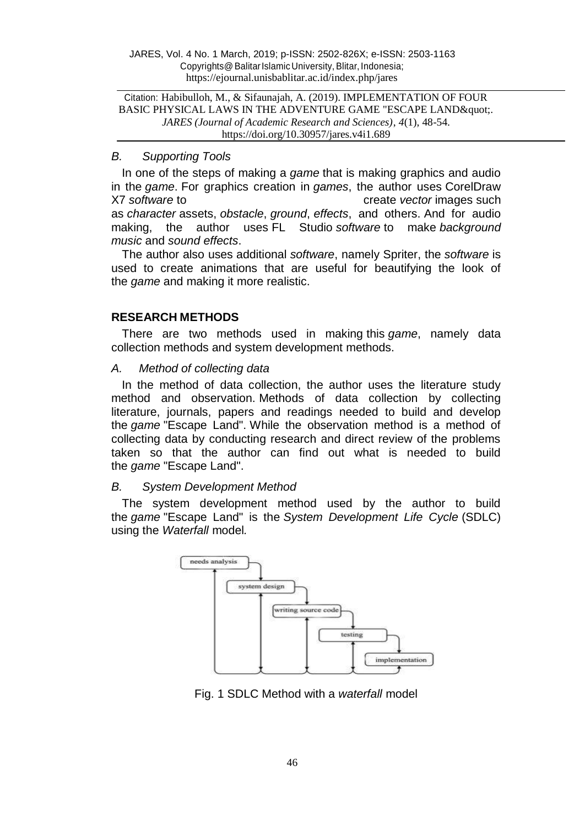Citation: Habibulloh, M., & Sifaunajah, A. (2019). IMPLEMENTATION OF FOUR BASIC PHYSICAL LAWS IN THE ADVENTURE GAME "ESCAPE LAND & quot;. *JARES (Journal of Academic Research and Sciences)*, *4*(1), 48-54. https://doi.org/10.30957/jares.v4i1.689

## *B. Supporting Tools*

In one of the steps of making a *game* that is making graphics and audio in the *game*. For graphics creation in *games*, the author uses CorelDraw X7 *software* to create *vector* images such as *character* assets, *obstacle*, *ground*, *effects*, and others. And for audio making, the author uses FL Studio *software* to make *background music* and *sound effects*.

The author also uses additional *software*, namely Spriter, the *software* is used to create animations that are useful for beautifying the look of the *game* and making it more realistic.

## **RESEARCH METHODS**

There are two methods used in making this *game*, namely data collection methods and system development methods.

### *A. Method of collecting data*

In the method of data collection, the author uses the literature study method and observation. Methods of data collection by collecting literature, journals, papers and readings needed to build and develop the *game* "Escape Land". While the observation method is a method of collecting data by conducting research and direct review of the problems taken so that the author can find out what is needed to build the *game* "Escape Land".

# *B. System Development Method*

The system development method used by the author to build the *game* "Escape Land" is the *System Development Life Cycle* (SDLC) using the *Waterfall* model*.*



Fig. 1 SDLC Method with a *waterfall* model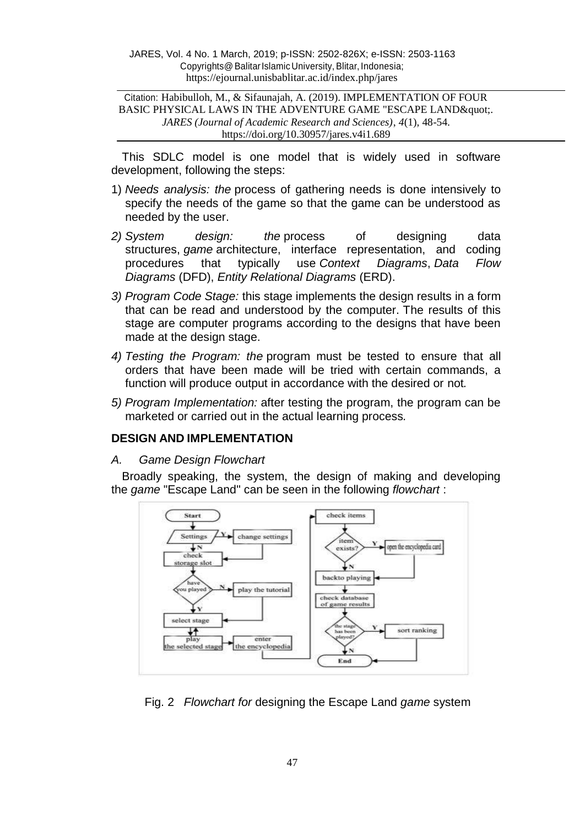Citation: Habibulloh, M., & Sifaunajah, A. (2019). IMPLEMENTATION OF FOUR BASIC PHYSICAL LAWS IN THE ADVENTURE GAME "ESCAPE LAND & quot;. *JARES (Journal of Academic Research and Sciences)*, *4*(1), 48-54. https://doi.org/10.30957/jares.v4i1.689

This SDLC model is one model that is widely used in software development, following the steps:

- 1) *Needs analysis: the* process of gathering needs is done intensively to specify the needs of the game so that the game can be understood as needed by the user.
- *2) System design: the* process of designing data structures, *game* architecture, interface representation, and coding procedures that typically use *Context Diagrams*, *Data Flow Diagrams* (DFD), *Entity Relational Diagrams* (ERD).
- *3) Program Code Stage:* this stage implements the design results in a form that can be read and understood by the computer. The results of this stage are computer programs according to the designs that have been made at the design stage.
- *4) Testing the Program: the* program must be tested to ensure that all orders that have been made will be tried with certain commands, a function will produce output in accordance with the desired or not*.*
- *5) Program Implementation:* after testing the program, the program can be marketed or carried out in the actual learning process*.*

## **DESIGN AND IMPLEMENTATION**

#### *A. Game Design Flowchart*

Broadly speaking, the system, the design of making and developing the *game* "Escape Land" can be seen in the following *flowchart* :



Fig. 2 *Flowchart for* designing the Escape Land *game* system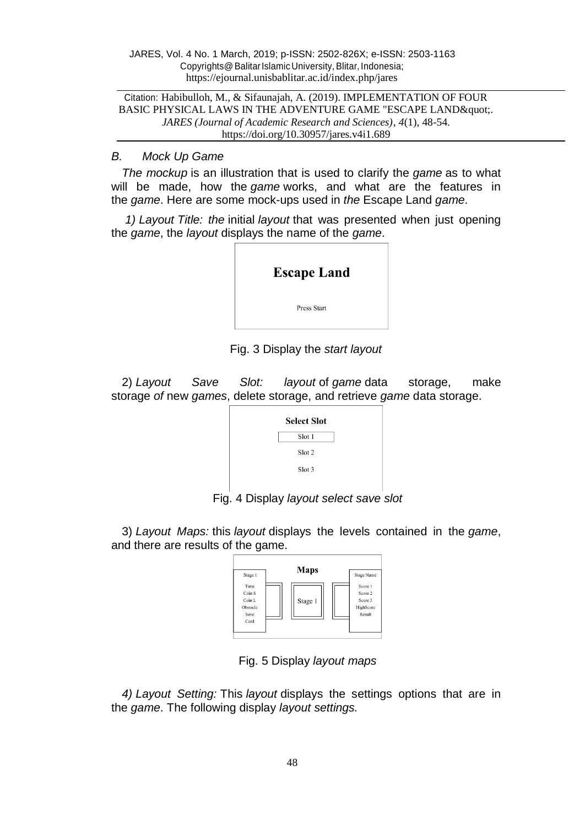Citation: Habibulloh, M., & Sifaunajah, A. (2019). IMPLEMENTATION OF FOUR BASIC PHYSICAL LAWS IN THE ADVENTURE GAME "ESCAPE LAND & quot;. *JARES (Journal of Academic Research and Sciences)*, *4*(1), 48-54. https://doi.org/10.30957/jares.v4i1.689

## *B. Mock Up Game*

*The mockup* is an illustration that is used to clarify the *game* as to what will be made, how the *game* works, and what are the features in the *game*. Here are some mock-ups used in *the* Escape Land *game*.

*1) Layout Title: the* initial *layout* that was presented when just opening the *game*, the *layout* displays the name of the *game*.

| <b>Escape Land</b> |  |
|--------------------|--|
| Press Start        |  |
|                    |  |

Fig. 3 Display the *start layout*

2) *Layout Save Slot: layout* of *game* data storage, make storage *of* new *games*, delete storage, and retrieve *game* data storage.

| <b>Select Slot</b> |
|--------------------|
| Slot 1             |
| Slot 2             |
| Slot 3             |
|                    |

Fig. 4 Display *layout select save slot*

3) *Layout Maps:* this *layout* displays the levels contained in the *game*, and there are results of the game.

| Time<br>Score 1<br>Coin S<br>Score 2<br>Coin L<br>Score 3<br>Stage 1<br>HighScore<br>Obstacle | Stage 1 | Maps | <b>Stage Name</b> |
|-----------------------------------------------------------------------------------------------|---------|------|-------------------|
|                                                                                               | Save    |      | Result            |

Fig. 5 Display *layout maps*

*4) Layout Setting:* This *layout* displays the settings options that are in the *game*. The following display *layout settings.*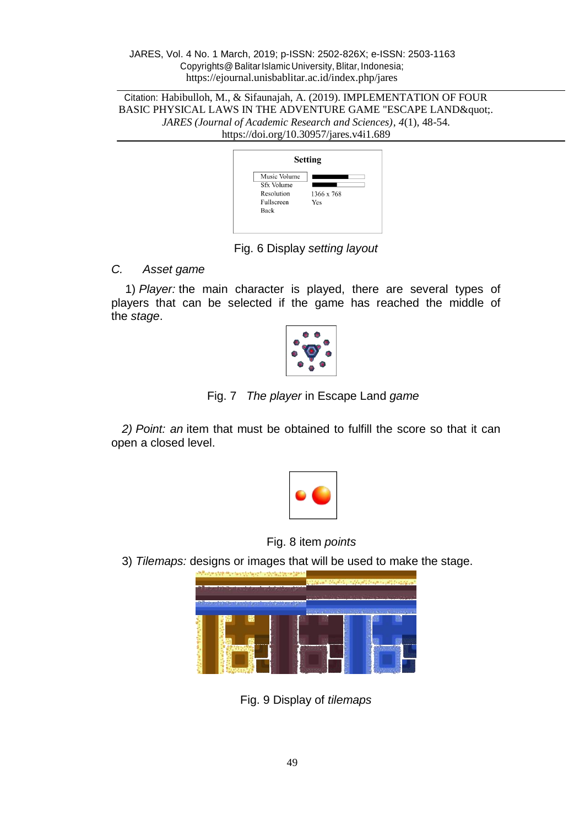Citation: Habibulloh, M., & Sifaunajah, A. (2019). IMPLEMENTATION OF FOUR BASIC PHYSICAL LAWS IN THE ADVENTURE GAME "ESCAPE LAND ". *JARES (Journal of Academic Research and Sciences)*, *4*(1), 48-54. https://doi.org/10.30957/jares.v4i1.689

|                                                                | <b>Setting</b>    |
|----------------------------------------------------------------|-------------------|
| Music Volume<br>Sfx Volume<br>Resolution<br>Fullscreen<br>Back | 1366 x 768<br>Yes |

Fig. 6 Display *setting layout*

# *C. Asset game*

1) *Player:* the main character is played, there are several types of players that can be selected if the game has reached the middle of the *stage*.



Fig. 7 *The player* in Escape Land *game*

*2) Point: an* item that must be obtained to fulfill the score so that it can open a closed level.



Fig. 8 item *points*

3) *Tilemaps:* designs or images that will be used to make the stage.



Fig. 9 Display of *tilemaps*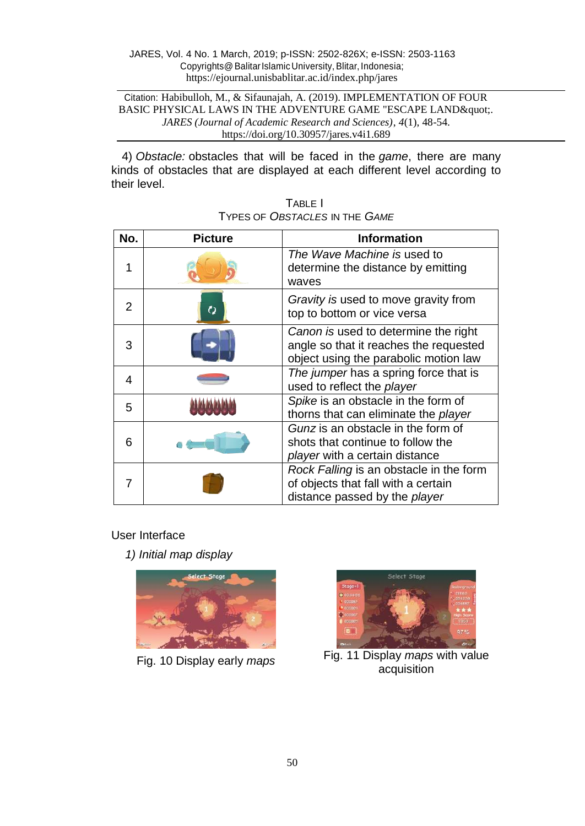Citation: Habibulloh, M., & Sifaunajah, A. (2019). IMPLEMENTATION OF FOUR BASIC PHYSICAL LAWS IN THE ADVENTURE GAME "ESCAPE LAND ". *JARES (Journal of Academic Research and Sciences)*, *4*(1), 48-54. https://doi.org/10.30957/jares.v4i1.689

4) *Obstacle:* obstacles that will be faced in the *game*, there are many kinds of obstacles that are displayed at each different level according to their level.

| No. | <b>Picture</b> | <b>Information</b>                                                                                                      |
|-----|----------------|-------------------------------------------------------------------------------------------------------------------------|
| 1   |                | The Wave Machine is used to<br>determine the distance by emitting<br>waves                                              |
| 2   | $\mathcal{C}$  | Gravity is used to move gravity from<br>top to bottom or vice versa                                                     |
| 3   |                | Canon is used to determine the right<br>angle so that it reaches the requested<br>object using the parabolic motion law |
| 4   |                | The jumper has a spring force that is<br>used to reflect the player                                                     |
| 5   |                | Spike is an obstacle in the form of<br>thorns that can eliminate the player                                             |
| 6   |                | Gunz is an obstacle in the form of<br>shots that continue to follow the<br><i>player</i> with a certain distance        |
|     |                | Rock Falling is an obstacle in the form<br>of objects that fall with a certain<br>distance passed by the player         |

| TABLE I                                      |  |
|----------------------------------------------|--|
| TYPES OF <i>OBSTACLES</i> IN THE <i>GAME</i> |  |

# User Interface

*1) Initial map display*





Fig. <sup>10</sup> Display early *maps* Fig. <sup>11</sup> Display *maps* with value acquisition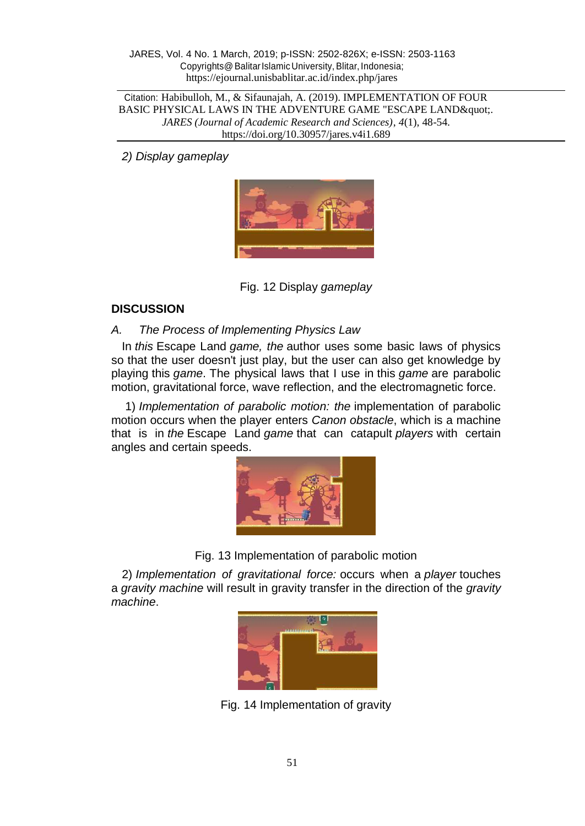Citation: Habibulloh, M., & Sifaunajah, A. (2019). IMPLEMENTATION OF FOUR BASIC PHYSICAL LAWS IN THE ADVENTURE GAME "ESCAPE LAND & quot;. *JARES (Journal of Academic Research and Sciences)*, *4*(1), 48-54. https://doi.org/10.30957/jares.v4i1.689

*2) Display gameplay*



Fig. 12 Display *gameplay*

# **DISCUSSION**

# *A. The Process of Implementing Physics Law*

In *this* Escape Land *game, the* author uses some basic laws of physics so that the user doesn't just play, but the user can also get knowledge by playing this *game*. The physical laws that I use in this *game* are parabolic motion, gravitational force, wave reflection, and the electromagnetic force.

1) *Implementation of parabolic motion: the* implementation of parabolic motion occurs when the player enters *Canon obstacle*, which is a machine that is in *the* Escape Land *game* that can catapult *players* with certain angles and certain speeds.



Fig. 13 Implementation of parabolic motion

2) *Implementation of gravitational force:* occurs when a *player* touches a *gravity machine* will result in gravity transfer in the direction of the *gravity machine*.



Fig. 14 Implementation of gravity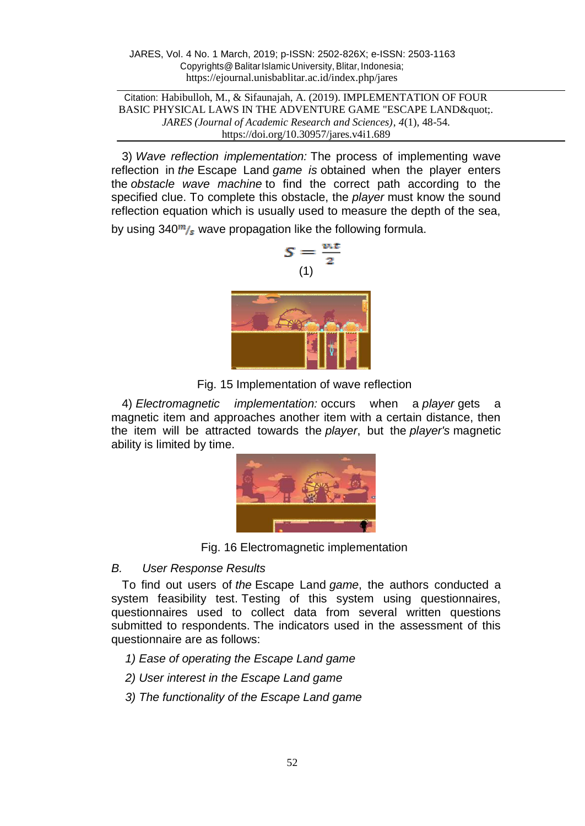Citation: Habibulloh, M., & Sifaunajah, A. (2019). IMPLEMENTATION OF FOUR BASIC PHYSICAL LAWS IN THE ADVENTURE GAME "ESCAPE LAND & quot;. *JARES (Journal of Academic Research and Sciences)*, *4*(1), 48-54. https://doi.org/10.30957/jares.v4i1.689

3) *Wave reflection implementation:* The process of implementing wave reflection in *the* Escape Land *game is* obtained when the player enters the *obstacle wave machine* to find the correct path according to the specified clue. To complete this obstacle, the *player* must know the sound reflection equation which is usually used to measure the depth of the sea,

by using  $340<sup>m</sup>/s$  wave propagation like the following formula.



Fig. 15 Implementation of wave reflection

4) *Electromagnetic implementation:* occurs when a *player* gets a magnetic item and approaches another item with a certain distance, then the item will be attracted towards the *player*, but the *player's* magnetic ability is limited by time.



Fig. 16 Electromagnetic implementation

### *B. User Response Results*

To find out users of *the* Escape Land *game*, the authors conducted a system feasibility test. Testing of this system using questionnaires, questionnaires used to collect data from several written questions submitted to respondents. The indicators used in the assessment of this questionnaire are as follows:

*1) Ease of operating the Escape Land game*

- *2) User interest in the Escape Land game*
- *3) The functionality of the Escape Land game*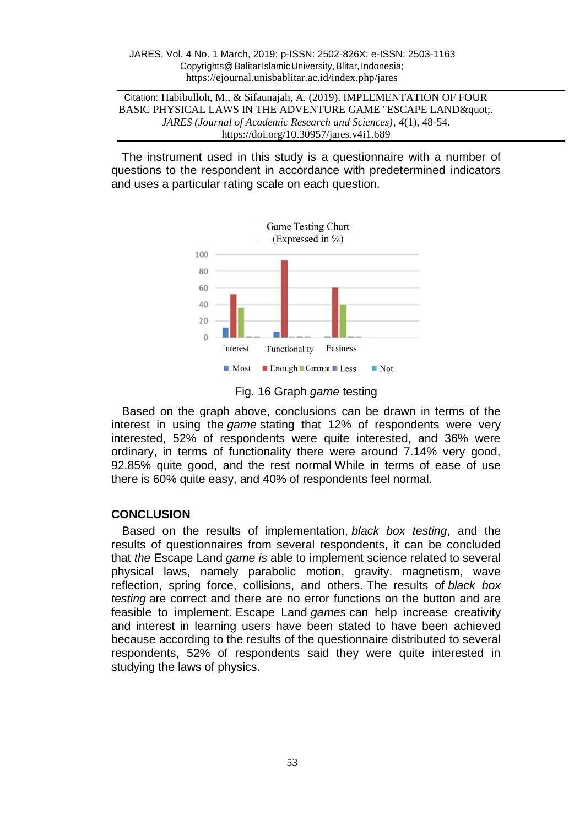Citation: Habibulloh, M., & Sifaunajah, A. (2019). IMPLEMENTATION OF FOUR BASIC PHYSICAL LAWS IN THE ADVENTURE GAME "ESCAPE LAND & quot;. *JARES (Journal of Academic Research and Sciences)*, *4*(1), 48-54. https://doi.org/10.30957/jares.v4i1.689

The instrument used in this study is a questionnaire with a number of questions to the respondent in accordance with predetermined indicators and uses a particular rating scale on each question.



Fig. 16 Graph *game* testing

Based on the graph above, conclusions can be drawn in terms of the interest in using the *game* stating that 12% of respondents were very interested, 52% of respondents were quite interested, and 36% were ordinary, in terms of functionality there were around 7.14% very good, 92.85% quite good, and the rest normal While in terms of ease of use there is 60% quite easy, and 40% of respondents feel normal.

# **CONCLUSION**

Based on the results of implementation, *black box testing*, and the results of questionnaires from several respondents, it can be concluded that *the* Escape Land *game is* able to implement science related to several physical laws, namely parabolic motion, gravity, magnetism, wave reflection, spring force, collisions, and others. The results of *black box testing* are correct and there are no error functions on the button and are feasible to implement. Escape Land *games* can help increase creativity and interest in learning users have been stated to have been achieved because according to the results of the questionnaire distributed to several respondents, 52% of respondents said they were quite interested in studying the laws of physics.